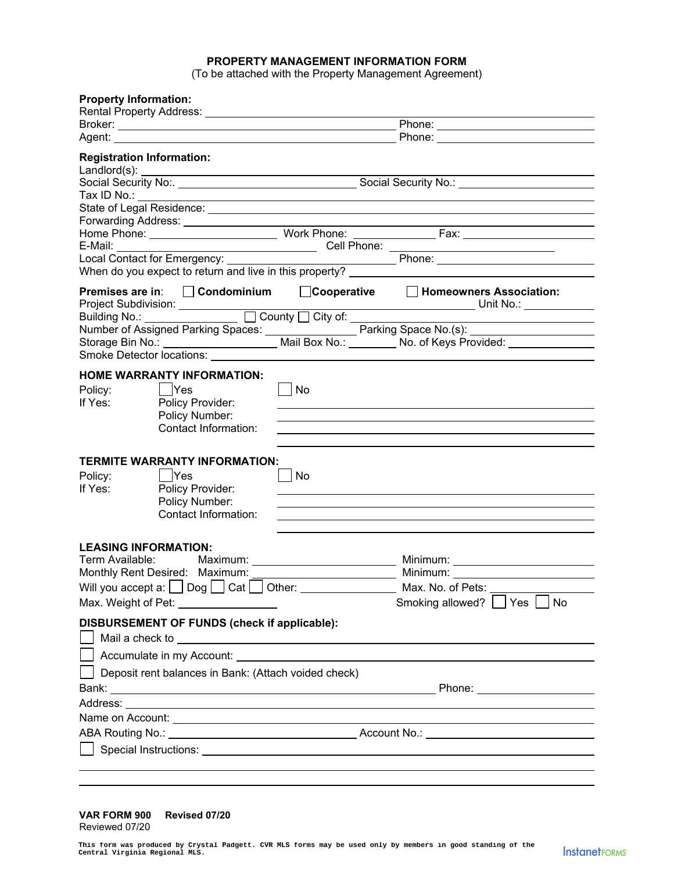## **PROPERTY MANAGEMENT INFORMATION FORM**

(To be attached with the Property Management Agreement)

| <b>Property Information:</b>     |                                                                                                                                                                                                                                |                      |                                                                                                                                                                                                                                               |  |  |
|----------------------------------|--------------------------------------------------------------------------------------------------------------------------------------------------------------------------------------------------------------------------------|----------------------|-----------------------------------------------------------------------------------------------------------------------------------------------------------------------------------------------------------------------------------------------|--|--|
|                                  |                                                                                                                                                                                                                                |                      |                                                                                                                                                                                                                                               |  |  |
|                                  | Agent: Agent: Agent: Agent: Agent: Agent: Agent: Agent: Agent: Agent: Agent: Agent: Agent: Agent: Agent: Agent: Agent: Agent: Agent: Agent: Agent: Agent: Agent: Agent: Agent: Agent: Agent: Agent: Agent: Agent: Agent: Agent |                      |                                                                                                                                                                                                                                               |  |  |
| <b>Registration Information:</b> |                                                                                                                                                                                                                                |                      |                                                                                                                                                                                                                                               |  |  |
|                                  |                                                                                                                                                                                                                                |                      |                                                                                                                                                                                                                                               |  |  |
|                                  |                                                                                                                                                                                                                                |                      |                                                                                                                                                                                                                                               |  |  |
|                                  | Forwarding Address: <u>________________</u>                                                                                                                                                                                    |                      |                                                                                                                                                                                                                                               |  |  |
| E-Mail:                          |                                                                                                                                                                                                                                |                      |                                                                                                                                                                                                                                               |  |  |
|                                  |                                                                                                                                                                                                                                |                      | <u> 1989 - Johann Barbara, martxa al-</u>                                                                                                                                                                                                     |  |  |
|                                  |                                                                                                                                                                                                                                |                      |                                                                                                                                                                                                                                               |  |  |
|                                  | Premises are in: □ Condominium                                                                                                                                                                                                 |                      | □Cooperative □ Homeowners Association:                                                                                                                                                                                                        |  |  |
|                                  |                                                                                                                                                                                                                                |                      |                                                                                                                                                                                                                                               |  |  |
|                                  |                                                                                                                                                                                                                                |                      | Number of Assigned Parking Spaces: <u>Calif Dental Box No.:</u> Parking Space No.(s): <u>Calif Dental Box No.:</u> Parking Space No.(s): Correspondence No.: Correspondence No.: <u>Calif Dental Box No.: No.: No.: of Keys Provided:</u> Cor |  |  |
|                                  | Smoke Detector locations: University of the University of Smoke Detector locations:                                                                                                                                            |                      |                                                                                                                                                                                                                                               |  |  |
|                                  | <b>HOME WARRANTY INFORMATION:</b>                                                                                                                                                                                              |                      |                                                                                                                                                                                                                                               |  |  |
| Policy:                          | Yes                                                                                                                                                                                                                            | No                   |                                                                                                                                                                                                                                               |  |  |
| If Yes:                          | Policy Provider:                                                                                                                                                                                                               |                      |                                                                                                                                                                                                                                               |  |  |
|                                  | Policy Number:                                                                                                                                                                                                                 |                      |                                                                                                                                                                                                                                               |  |  |
|                                  | Contact Information:                                                                                                                                                                                                           |                      |                                                                                                                                                                                                                                               |  |  |
|                                  |                                                                                                                                                                                                                                |                      |                                                                                                                                                                                                                                               |  |  |
|                                  | <b>TERMITE WARRANTY INFORMATION:</b>                                                                                                                                                                                           |                      |                                                                                                                                                                                                                                               |  |  |
| Policy:                          | $ $ Yes                                                                                                                                                                                                                        | No<br>$\blacksquare$ |                                                                                                                                                                                                                                               |  |  |
| If Yes:                          | Policy Provider:<br>Policy Number:                                                                                                                                                                                             |                      |                                                                                                                                                                                                                                               |  |  |
|                                  | Contact Information:                                                                                                                                                                                                           |                      |                                                                                                                                                                                                                                               |  |  |
|                                  |                                                                                                                                                                                                                                |                      |                                                                                                                                                                                                                                               |  |  |
| <b>LEASING INFORMATION:</b>      |                                                                                                                                                                                                                                |                      |                                                                                                                                                                                                                                               |  |  |
| Term Available:                  |                                                                                                                                                                                                                                |                      |                                                                                                                                                                                                                                               |  |  |
| Monthly Rent Desired: Maximum:   |                                                                                                                                                                                                                                |                      |                                                                                                                                                                                                                                               |  |  |
|                                  | Will you accept a: Dog Cat Cat Other: Community Outlet                                                                                                                                                                         |                      | Max. No. of Pets:                                                                                                                                                                                                                             |  |  |
|                                  | Max. Weight of Pet: \\square\\square\\square\\square\\square\\square\\square\\square\\square\\square\\square\\square\\square\\square\\square\\square\\square\\square\\square\\square\\square\\square\\square\\square\\square\\ |                      | Smoking allowed? Yes No                                                                                                                                                                                                                       |  |  |
|                                  | DISBURSEMENT OF FUNDS (check if applicable):                                                                                                                                                                                   |                      |                                                                                                                                                                                                                                               |  |  |
|                                  |                                                                                                                                                                                                                                |                      |                                                                                                                                                                                                                                               |  |  |
|                                  | Deposit rent balances in Bank: (Attach voided check)                                                                                                                                                                           |                      |                                                                                                                                                                                                                                               |  |  |
| Phone: _______________________   |                                                                                                                                                                                                                                |                      |                                                                                                                                                                                                                                               |  |  |
|                                  |                                                                                                                                                                                                                                |                      |                                                                                                                                                                                                                                               |  |  |
|                                  |                                                                                                                                                                                                                                |                      |                                                                                                                                                                                                                                               |  |  |
|                                  | ABA Routing No.: ABA Routing No.: Account No.: Account No.: Account No.:                                                                                                                                                       |                      |                                                                                                                                                                                                                                               |  |  |
|                                  |                                                                                                                                                                                                                                |                      | Special Instructions: <u>example and the set of the set of the set of the set of the set of the set of the set of the set of the set of the set of the set of the set of the set of the set of the set of the set of the set of </u>          |  |  |
|                                  |                                                                                                                                                                                                                                |                      |                                                                                                                                                                                                                                               |  |  |
|                                  |                                                                                                                                                                                                                                |                      |                                                                                                                                                                                                                                               |  |  |

## **VAR FORM 900 Revised 07/20** Reviewed 07/20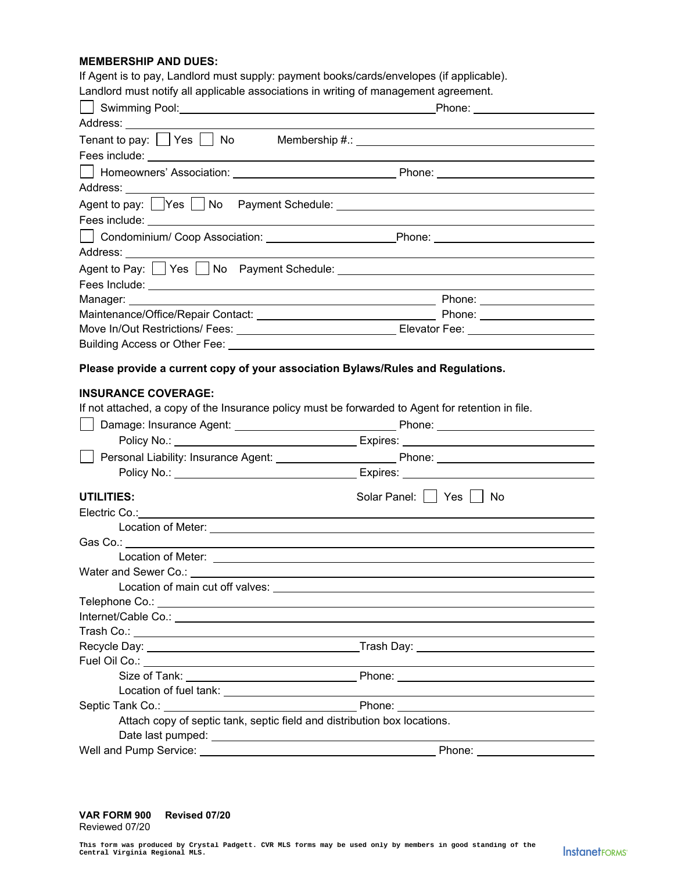## **MEMBERSHIP AND DUES:**

If Agent is to pay, Landlord must supply: payment books/cards/envelopes (if applicable).

Landlord must notify all applicable associations in writing of management agreement.

| Landrona maor nomy an approapio accoolations in whinig or management agroement.                                                                                                                                                |                                                                                                     |
|--------------------------------------------------------------------------------------------------------------------------------------------------------------------------------------------------------------------------------|-----------------------------------------------------------------------------------------------------|
| Address: ________________________                                                                                                                                                                                              |                                                                                                     |
|                                                                                                                                                                                                                                |                                                                                                     |
|                                                                                                                                                                                                                                |                                                                                                     |
|                                                                                                                                                                                                                                |                                                                                                     |
|                                                                                                                                                                                                                                |                                                                                                     |
|                                                                                                                                                                                                                                |                                                                                                     |
|                                                                                                                                                                                                                                |                                                                                                     |
|                                                                                                                                                                                                                                |                                                                                                     |
|                                                                                                                                                                                                                                |                                                                                                     |
|                                                                                                                                                                                                                                |                                                                                                     |
|                                                                                                                                                                                                                                |                                                                                                     |
|                                                                                                                                                                                                                                |                                                                                                     |
|                                                                                                                                                                                                                                |                                                                                                     |
|                                                                                                                                                                                                                                |                                                                                                     |
|                                                                                                                                                                                                                                |                                                                                                     |
|                                                                                                                                                                                                                                |                                                                                                     |
| Please provide a current copy of your association Bylaws/Rules and Regulations.                                                                                                                                                |                                                                                                     |
| <b>INSURANCE COVERAGE:</b>                                                                                                                                                                                                     |                                                                                                     |
| If not attached, a copy of the Insurance policy must be forwarded to Agent for retention in file.                                                                                                                              |                                                                                                     |
|                                                                                                                                                                                                                                |                                                                                                     |
|                                                                                                                                                                                                                                |                                                                                                     |
| Supersonal Liability: Insurance Agent: Supersonal Dennis Phone: Supersonal Liability: Insurance Agent: Supersonal Phone: Supersonal Liability: Insurance Agent: Supersonal Phone: Supersonal Phone: Supersonal Phone: Superson |                                                                                                     |
|                                                                                                                                                                                                                                |                                                                                                     |
|                                                                                                                                                                                                                                |                                                                                                     |
| <b>UTILITIES:</b>                                                                                                                                                                                                              | Solar Panel:     Yes     No                                                                         |
|                                                                                                                                                                                                                                |                                                                                                     |
|                                                                                                                                                                                                                                |                                                                                                     |
|                                                                                                                                                                                                                                |                                                                                                     |
|                                                                                                                                                                                                                                |                                                                                                     |
|                                                                                                                                                                                                                                |                                                                                                     |
| Location of main cut off valves: _____________                                                                                                                                                                                 |                                                                                                     |
|                                                                                                                                                                                                                                |                                                                                                     |
|                                                                                                                                                                                                                                |                                                                                                     |
|                                                                                                                                                                                                                                |                                                                                                     |
|                                                                                                                                                                                                                                |                                                                                                     |
|                                                                                                                                                                                                                                | <u> 1989 - Johann Stoff, amerikansk politiker (d. 1989)</u>                                         |
|                                                                                                                                                                                                                                |                                                                                                     |
|                                                                                                                                                                                                                                | the contract of the contract of the contract of the contract of the contract of the contract of the |
|                                                                                                                                                                                                                                |                                                                                                     |
| Attach copy of septic tank, septic field and distribution box locations.                                                                                                                                                       |                                                                                                     |
|                                                                                                                                                                                                                                |                                                                                                     |
|                                                                                                                                                                                                                                | Phone: _______________________                                                                      |